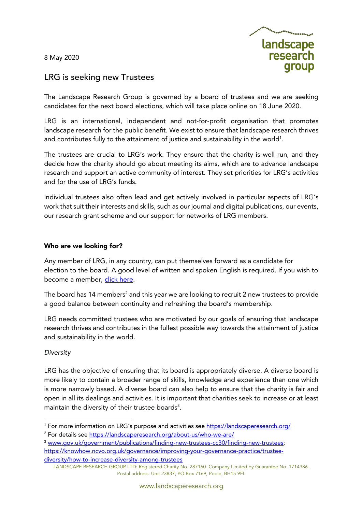8 May 2020



# LRG is seeking new Trustees

The Landscape Research Group is governed by a board of trustees and we are seeking candidates for the next board elections, which will take place online on 18 June 2020.

LRG is an international, independent and not-for-profit organisation that promotes landscape research for the public benefit. We exist to ensure that landscape research thrives and contributes fully to the attainment of justice and sustainability in the world $^{\text{\tiny{1}}}$ .

The trustees are crucial to LRG's work. They ensure that the charity is well run, and they decide how the charity should go about meeting its aims, which are to advance landscape research and support an active community of interest. They set priorities for LRG's activities and for the use of LRG's funds.

Individual trustees also often lead and get actively involved in particular aspects of LRG's work that suit their interests and skills, such as our journal and digital publications, our events, our research grant scheme and our support for networks of LRG members.

### Who are we looking for?

Any member of LRG, in any country, can put themselves forward as a candidate for election to the board. A good level of written and spoken English is required. If you wish to become a member, click here.

The board has 14 members<sup>2</sup> and this year we are looking to recruit 2 new trustees to provide a good balance between continuity and refreshing the board's membership.

LRG needs committed trustees who are motivated by our goals of ensuring that landscape research thrives and contributes in the fullest possible way towards the attainment of justice and sustainability in the world.

# *Diversity*

LRG has the objective of ensuring that its board is appropriately diverse. A diverse board is more likely to contain a broader range of skills, knowledge and experience than one which is more narrowly based. A diverse board can also help to ensure that the charity is fair and open in all its dealings and activities. It is important that charities seek to increase or at least maintain the diversity of their trustee boards $^3\!\!$ .

<sup>3</sup> www.gov.uk/government/publications/finding-new-trustees-cc30/finding-new-trustees; https://knowhow.ncvo.org.uk/governance/improving-your-governance-practice/trustee-

diversity/how-to-increase-diversity-among-trustees

<sup>&</sup>lt;sup>1</sup> For more information on LRG's purpose and activities see https://landscaperesearch.org/

<sup>&</sup>lt;sup>2</sup> For details see https://landscaperesearch.org/about-us/who-we-are/

LANDSCAPE RESEARCH GROUP LTD: Registered Charity No. 287160. Company Limited by Guarantee No. 1714386. Postal address: Unit 23837, PO Box 7169, Poole, BH15 9EL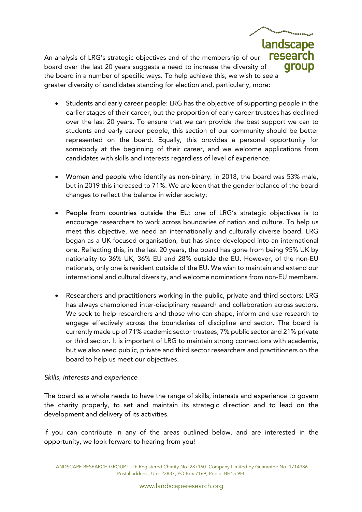An analysis of LRG's strategic objectives and of the membership of our board over the last 20 years suggests a need to increase the diversity of the board in a number of specific ways. To help achieve this, we wish to see a greater diversity of candidates standing for election and, particularly, more:

• Students and early career people: LRG has the objective of supporting people in the earlier stages of their career, but the proportion of early career trustees has declined over the last 20 years. To ensure that we can provide the best support we can to students and early career people, this section of our community should be better represented on the board. Equally, this provides a personal opportunity for somebody at the beginning of their career, and we welcome applications from candidates with skills and interests regardless of level of experience.

landscape

aroup

- Women and people who identify as non-binary: in 2018, the board was 53% male, but in 2019 this increased to 71%. We are keen that the gender balance of the board changes to reflect the balance in wider society;
- People from countries outside the EU: one of LRG's strategic objectives is to encourage researchers to work across boundaries of nation and culture. To help us meet this objective, we need an internationally and culturally diverse board. LRG began as a UK-focused organisation, but has since developed into an international one. Reflecting this, in the last 20 years, the board has gone from being 95% UK by nationality to 36% UK, 36% EU and 28% outside the EU. However, of the non-EU nationals, only one is resident outside of the EU. We wish to maintain and extend our international and cultural diversity, and welcome nominations from non-EU members.
- Researchers and practitioners working in the public, private and third sectors: LRG has always championed inter-disciplinary research and collaboration across sectors. We seek to help researchers and those who can shape, inform and use research to engage effectively across the boundaries of discipline and sector. The board is currently made up of 71% academic sector trustees, 7% public sector and 21% private or third sector. It is important of LRG to maintain strong connections with academia, but we also need public, private and third sector researchers and practitioners on the board to help us meet our objectives.

# *Skills, interests and experience*

The board as a whole needs to have the range of skills, interests and experience to govern the charity properly, to set and maintain its strategic direction and to lead on the development and delivery of its activities.

If you can contribute in any of the areas outlined below, and are interested in the opportunity, we look forward to hearing from you!

LANDSCAPE RESEARCH GROUP LTD: Registered Charity No. 287160. Company Limited by Guarantee No. 1714386. Postal address: Unit 23837, PO Box 7169, Poole, BH15 9EL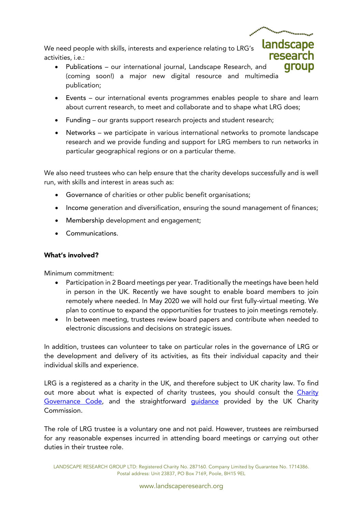We need people with skills, interests and experience relating to LRG's activities, i.e.:

- Publications our international journal, Landscape Research, and (coming soon!) a major new digital resource and multimedia publication;
- Events our international events programmes enables people to share and learn about current research, to meet and collaborate and to shape what LRG does;

landscape

aroup

- Funding our grants support research projects and student research;
- Networks we participate in various international networks to promote landscape research and we provide funding and support for LRG members to run networks in particular geographical regions or on a particular theme.

We also need trustees who can help ensure that the charity develops successfully and is well run, with skills and interest in areas such as:

- Governance of charities or other public benefit organisations;
- Income generation and diversification, ensuring the sound management of finances;
- Membership development and engagement;
- Communications.

# What's involved?

Minimum commitment:

- Participation in 2 Board meetings per year. Traditionally the meetings have been held in person in the UK. Recently we have sought to enable board members to join remotely where needed. In May 2020 we will hold our first fully-virtual meeting. We plan to continue to expand the opportunities for trustees to join meetings remotely.
- In between meeting, trustees review board papers and contribute when needed to electronic discussions and decisions on strategic issues.

In addition, trustees can volunteer to take on particular roles in the governance of LRG or the development and delivery of its activities, as fits their individual capacity and their individual skills and experience.

LRG is a registered as a charity in the UK, and therefore subject to UK charity law. To find out more about what is expected of charity trustees, you should consult the Charity Governance Code, and the straightforward guidance provided by the UK Charity Commission.

The role of LRG trustee is a voluntary one and not paid. However, trustees are reimbursed for any reasonable expenses incurred in attending board meetings or carrying out other duties in their trustee role.

LANDSCAPE RESEARCH GROUP LTD: Registered Charity No. 287160. Company Limited by Guarantee No. 1714386. Postal address: Unit 23837, PO Box 7169, Poole, BH15 9EL